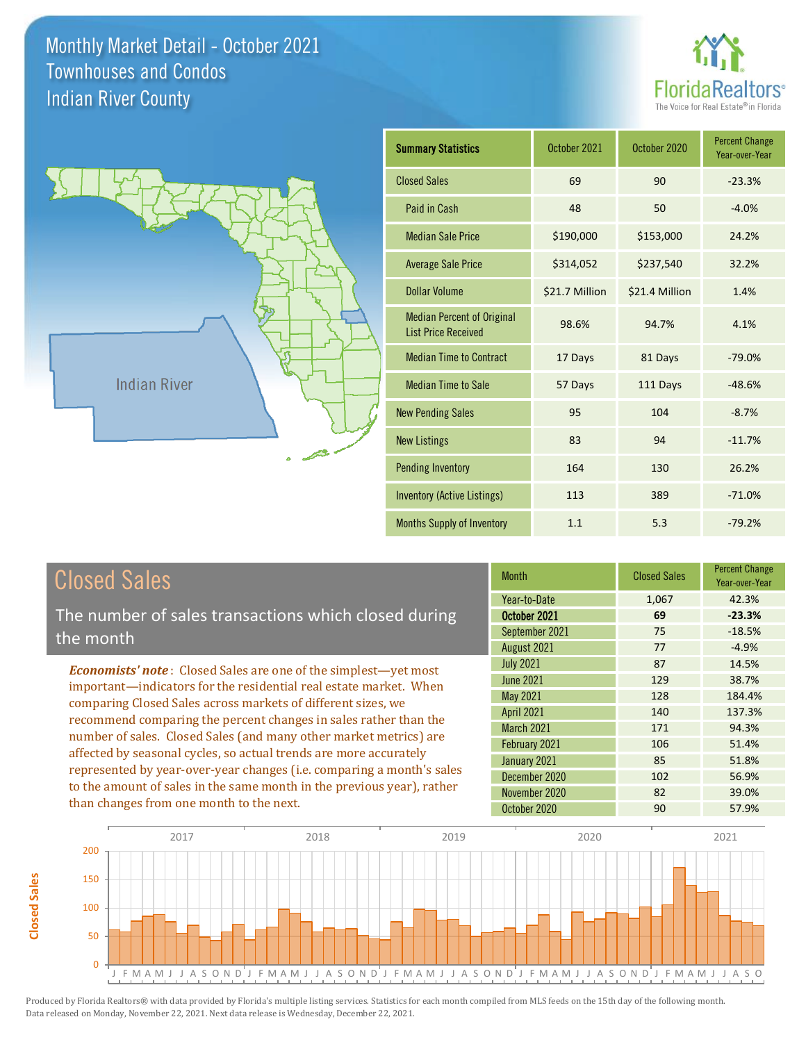



| <b>Summary Statistics</b>                                       | October 2021   | October 2020   | <b>Percent Change</b><br>Year-over-Year |
|-----------------------------------------------------------------|----------------|----------------|-----------------------------------------|
| <b>Closed Sales</b>                                             | 69             | 90             | $-23.3%$                                |
| Paid in Cash                                                    | 48             | 50             | $-4.0%$                                 |
| <b>Median Sale Price</b>                                        | \$190,000      | \$153,000      | 24.2%                                   |
| <b>Average Sale Price</b>                                       | \$314,052      | \$237,540      | 32.2%                                   |
| Dollar Volume                                                   | \$21.7 Million | \$21.4 Million | 1.4%                                    |
| <b>Median Percent of Original</b><br><b>List Price Received</b> | 98.6%          | 94.7%          | 4.1%                                    |
| <b>Median Time to Contract</b>                                  | 17 Days        | 81 Days        | $-79.0%$                                |
| <b>Median Time to Sale</b>                                      | 57 Days        | 111 Days       | $-48.6%$                                |
| <b>New Pending Sales</b>                                        | 95             | 104            | $-8.7%$                                 |
| <b>New Listings</b>                                             | 83             | 94             | $-11.7%$                                |
| <b>Pending Inventory</b>                                        | 164            | 130            | 26.2%                                   |
| Inventory (Active Listings)                                     | 113            | 389            | $-71.0%$                                |
| <b>Months Supply of Inventory</b>                               | 1.1            | 5.3            | $-79.2%$                                |

## Closed Sales

**Closed Sales**

**Closed Sales** 

The number of sales transactions which closed during the month

*Economists' note* : Closed Sales are one of the simplest—yet most important—indicators for the residential real estate market. When comparing Closed Sales across markets of different sizes, we recommend comparing the percent changes in sales rather than the number of sales. Closed Sales (and many other market metrics) are affected by seasonal cycles, so actual trends are more accurately represented by year-over-year changes (i.e. comparing a month's sales to the amount of sales in the same month in the previous year), rather than changes from one month to the next.

| <b>Month</b>      | <b>Closed Sales</b> | <b>Percent Change</b><br>Year-over-Year |
|-------------------|---------------------|-----------------------------------------|
| Year-to-Date      | 1,067               | 42.3%                                   |
| October 2021      | 69                  | $-23.3%$                                |
| September 2021    | 75                  | $-18.5%$                                |
| August 2021       | 77                  | $-4.9%$                                 |
| <b>July 2021</b>  | 87                  | 14.5%                                   |
| <b>June 2021</b>  | 129                 | 38.7%                                   |
| <b>May 2021</b>   | 128                 | 184.4%                                  |
| <b>April 2021</b> | 140                 | 137.3%                                  |
| March 2021        | 171                 | 94.3%                                   |
| February 2021     | 106                 | 51.4%                                   |
| January 2021      | 85                  | 51.8%                                   |
| December 2020     | 102                 | 56.9%                                   |
| November 2020     | 82                  | 39.0%                                   |
| October 2020      | 90                  | 57.9%                                   |

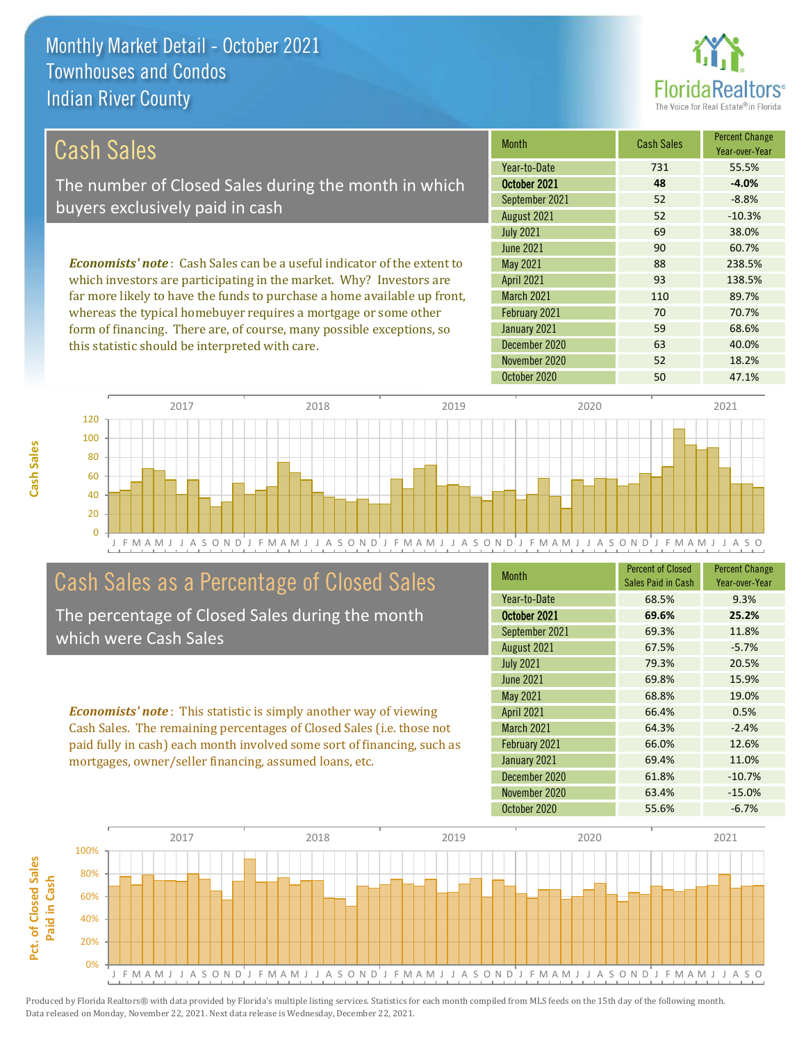this statistic should be interpreted with care.



63 40.0%

| Cash Sales                                                                     | <b>Month</b>      | <b>Cash Sales</b> | <b>Percent Change</b><br>Year-over-Year |
|--------------------------------------------------------------------------------|-------------------|-------------------|-----------------------------------------|
|                                                                                | Year-to-Date      | 731               | 55.5%                                   |
| The number of Closed Sales during the month in which                           | October 2021      | 48                | $-4.0%$                                 |
| buyers exclusively paid in cash                                                | September 2021    | 52                | $-8.8%$                                 |
|                                                                                | August 2021       | 52                | $-10.3%$                                |
|                                                                                | <b>July 2021</b>  | 69                | 38.0%                                   |
|                                                                                | June 2021         | 90                | 60.7%                                   |
| <b>Economists' note:</b> Cash Sales can be a useful indicator of the extent to | May 2021          | 88                | 238.5%                                  |
| which investors are participating in the market. Why? Investors are            | <b>April 2021</b> | 93                | 138.5%                                  |
| far more likely to have the funds to purchase a home available up front,       | <b>March 2021</b> | 110               | 89.7%                                   |
| whereas the typical homebuyer requires a mortgage or some other                | February 2021     | 70                | 70.7%                                   |
| form of financing. There are, of course, many possible exceptions, so          | January 2021      | 59                | 68.6%                                   |

October 2020 50 50 47.1% 0 20 40 60 80 100 120 2017 2018 2019 2020 2021

J F M A M J J A S O N D J F M A M J J A S O N D J F M A M J J A S O N D J F M A M J J A S O N D J F M A M J J A S O

December 2020

### Cash Sales as a Percentage of Closed Sales

The percentage of Closed Sales during the month which were Cash Sales

*Economists' note* : This statistic is simply another way of viewing Cash Sales. The remaining percentages of Closed Sales (i.e. those not paid fully in cash) each month involved some sort of financing, such as mortgages, owner/seller financing, assumed loans, etc.

| <b>Month</b>      | <b>Percent of Closed</b><br>Sales Paid in Cash | <b>Percent Change</b><br>Year-over-Year |
|-------------------|------------------------------------------------|-----------------------------------------|
| Year-to-Date      | 68.5%                                          | 9.3%                                    |
| October 2021      | 69.6%                                          | 25.2%                                   |
| September 2021    | 69.3%                                          | 11.8%                                   |
| August 2021       | 67.5%                                          | $-5.7%$                                 |
| <b>July 2021</b>  | 79.3%                                          | 20.5%                                   |
| <b>June 2021</b>  | 69.8%                                          | 15.9%                                   |
| May 2021          | 68.8%                                          | 19.0%                                   |
| <b>April 2021</b> | 66.4%                                          | 0.5%                                    |
| March 2021        | 64.3%                                          | $-2.4%$                                 |
| February 2021     | 66.0%                                          | 12.6%                                   |
| January 2021      | 69.4%                                          | 11.0%                                   |
| December 2020     | 61.8%                                          | $-10.7%$                                |
| November 2020     | 63.4%                                          | $-15.0%$                                |
| October 2020      | 55.6%                                          | $-6.7%$                                 |

November 2020 52 18.2%

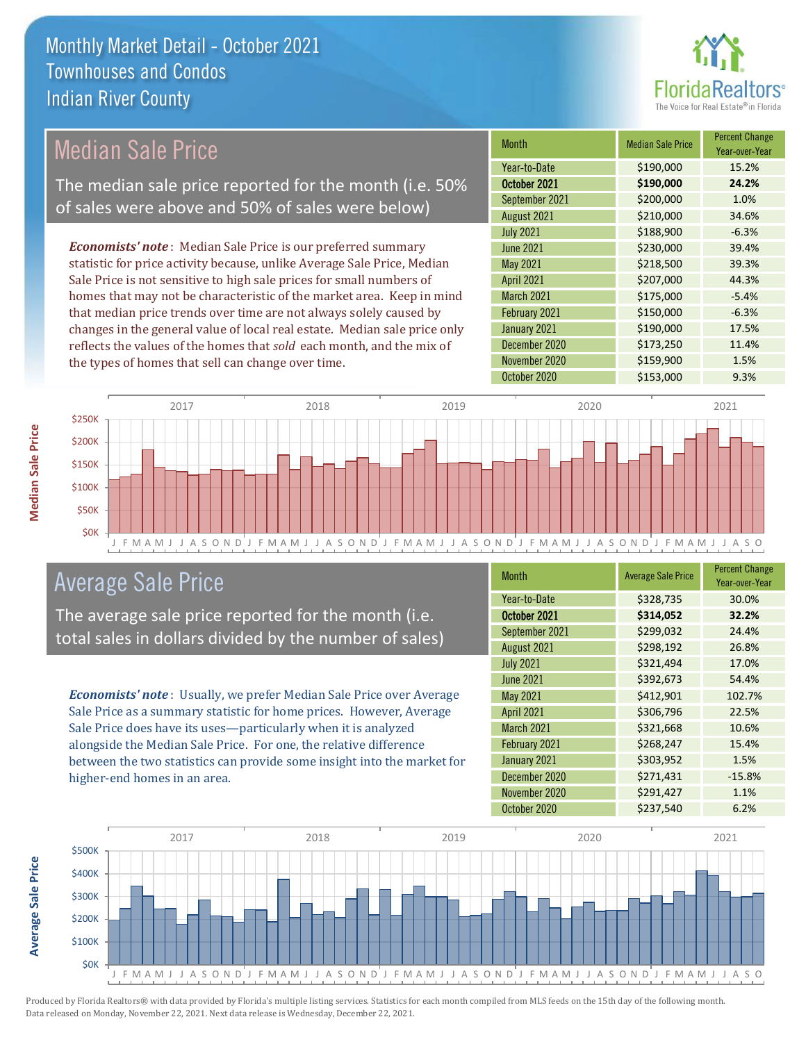

### Median Sale Price

The median sale price reported for the month (i.e. 50% of sales were above and 50% of sales were below)

*Economists' note* : Median Sale Price is our preferred summary statistic for price activity because, unlike Average Sale Price, Median Sale Price is not sensitive to high sale prices for small numbers of homes that may not be characteristic of the market area. Keep in mind that median price trends over time are not always solely caused by changes in the general value of local real estate. Median sale price only reflects the values of the homes that *sold* each month, and the mix of the types of homes that sell can change over time.

| <b>Month</b>      | <b>Median Sale Price</b> | <b>Percent Change</b><br>Year-over-Year |
|-------------------|--------------------------|-----------------------------------------|
| Year-to-Date      | \$190,000                | 15.2%                                   |
| October 2021      | \$190,000                | 24.2%                                   |
| September 2021    | \$200,000                | 1.0%                                    |
| August 2021       | \$210,000                | 34.6%                                   |
| <b>July 2021</b>  | \$188,900                | $-6.3%$                                 |
| <b>June 2021</b>  | \$230,000                | 39.4%                                   |
| May 2021          | \$218,500                | 39.3%                                   |
| <b>April 2021</b> | \$207,000                | 44.3%                                   |
| March 2021        | \$175,000                | $-5.4%$                                 |
| February 2021     | \$150,000                | $-6.3%$                                 |
| January 2021      | \$190,000                | 17.5%                                   |
| December 2020     | \$173,250                | 11.4%                                   |
| November 2020     | \$159,900                | 1.5%                                    |
| October 2020      | \$153,000                | 9.3%                                    |



### Average Sale Price

The average sale price reported for the month (i.e. total sales in dollars divided by the number of sales)

*Economists' note* : Usually, we prefer Median Sale Price over Average Sale Price as a summary statistic for home prices. However, Average Sale Price does have its uses—particularly when it is analyzed alongside the Median Sale Price. For one, the relative difference between the two statistics can provide some insight into the market for higher-end homes in an area.

| Month             | <b>Average Sale Price</b> | <b>Percent Change</b><br>Year-over-Year |
|-------------------|---------------------------|-----------------------------------------|
| Year-to-Date      | \$328,735                 | 30.0%                                   |
| October 2021      | \$314,052                 | 32.2%                                   |
| September 2021    | \$299,032                 | 24.4%                                   |
| August 2021       | \$298,192                 | 26.8%                                   |
| <b>July 2021</b>  | \$321,494                 | 17.0%                                   |
| <b>June 2021</b>  | \$392,673                 | 54.4%                                   |
| May 2021          | \$412,901                 | 102.7%                                  |
| <b>April 2021</b> | \$306,796                 | 22.5%                                   |
| March 2021        | \$321,668                 | 10.6%                                   |
| February 2021     | \$268,247                 | 15.4%                                   |
| January 2021      | \$303,952                 | 1.5%                                    |
| December 2020     | \$271,431                 | $-15.8%$                                |
| November 2020     | \$291,427                 | 1.1%                                    |
| October 2020      | \$237,540                 | 6.2%                                    |



Produced by Florida Realtors® with data provided by Florida's multiple listing services. Statistics for each month compiled from MLS feeds on the 15th day of the following month. Data released on Monday, November 22, 2021. Next data release is Wednesday, December 22, 2021.

**Average Sale Price**

**Average Sale Price**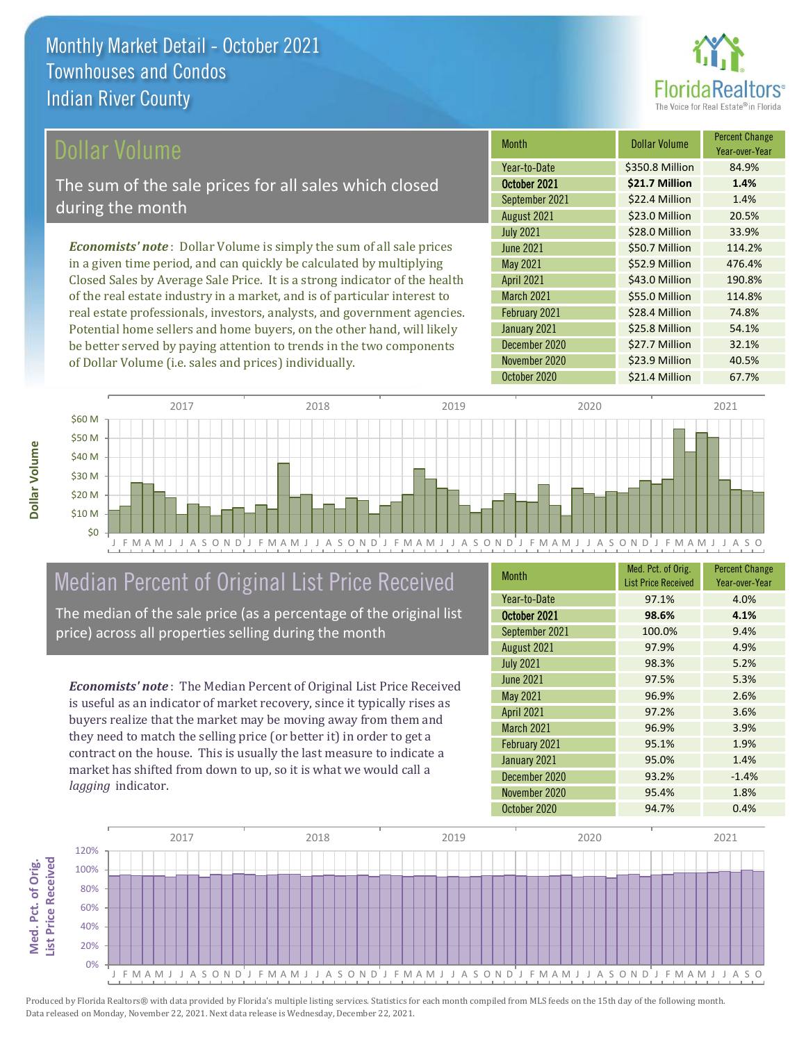

#### ollar Volume

The sum of the sale prices for all sales which closed during the month

*Economists' note* : Dollar Volume is simply the sum of all sale prices in a given time period, and can quickly be calculated by multiplying Closed Sales by Average Sale Price. It is a strong indicator of the health of the real estate industry in a market, and is of particular interest to real estate professionals, investors, analysts, and government agencies. Potential home sellers and home buyers, on the other hand, will likely be better served by paying attention to trends in the two components of Dollar Volume (i.e. sales and prices) individually.

| <b>Month</b>      | <b>Dollar Volume</b> | <b>Percent Change</b><br>Year-over-Year |
|-------------------|----------------------|-----------------------------------------|
| Year-to-Date      | \$350.8 Million      | 84.9%                                   |
| October 2021      | \$21.7 Million       | 1.4%                                    |
| September 2021    | \$22.4 Million       | 1.4%                                    |
| August 2021       | \$23.0 Million       | 20.5%                                   |
| <b>July 2021</b>  | \$28.0 Million       | 33.9%                                   |
| <b>June 2021</b>  | \$50.7 Million       | 114.2%                                  |
| <b>May 2021</b>   | \$52.9 Million       | 476.4%                                  |
| <b>April 2021</b> | \$43.0 Million       | 190.8%                                  |
| <b>March 2021</b> | \$55.0 Million       | 114.8%                                  |
| February 2021     | \$28.4 Million       | 74.8%                                   |
| January 2021      | \$25.8 Million       | 54.1%                                   |
| December 2020     | \$27.7 Million       | 32.1%                                   |
| November 2020     | \$23.9 Million       | 40.5%                                   |
| October 2020      | \$21.4 Million       | 67.7%                                   |



### Median Percent of Original List Price Received

The median of the sale price (as a percentage of the original list price) across all properties selling during the month

*Economists' note* : The Median Percent of Original List Price Received is useful as an indicator of market recovery, since it typically rises as buyers realize that the market may be moving away from them and they need to match the selling price (or better it) in order to get a contract on the house. This is usually the last measure to indicate a market has shifted from down to up, so it is what we would call a *lagging* indicator.

| <b>Month</b>      | Med. Pct. of Orig.<br><b>List Price Received</b> | <b>Percent Change</b><br>Year-over-Year |
|-------------------|--------------------------------------------------|-----------------------------------------|
| Year-to-Date      | 97.1%                                            | 4.0%                                    |
| October 2021      | 98.6%                                            | 4.1%                                    |
| September 2021    | 100.0%                                           | 9.4%                                    |
| August 2021       | 97.9%                                            | 4.9%                                    |
| <b>July 2021</b>  | 98.3%                                            | 5.2%                                    |
| June 2021         | 97.5%                                            | 5.3%                                    |
| <b>May 2021</b>   | 96.9%                                            | 2.6%                                    |
| <b>April 2021</b> | 97.2%                                            | 3.6%                                    |
| <b>March 2021</b> | 96.9%                                            | 3.9%                                    |
| February 2021     | 95.1%                                            | 1.9%                                    |
| January 2021      | 95.0%                                            | 1.4%                                    |
| December 2020     | 93.2%                                            | $-1.4%$                                 |
| November 2020     | 95.4%                                            | 1.8%                                    |
| October 2020      | 94.7%                                            | 0.4%                                    |



Produced by Florida Realtors® with data provided by Florida's multiple listing services. Statistics for each month compiled from MLS feeds on the 15th day of the following month. Data released on Monday, November 22, 2021. Next data release is Wednesday, December 22, 2021.

**Med. Pct. of Orig.** 

Med. Pct. of Orig.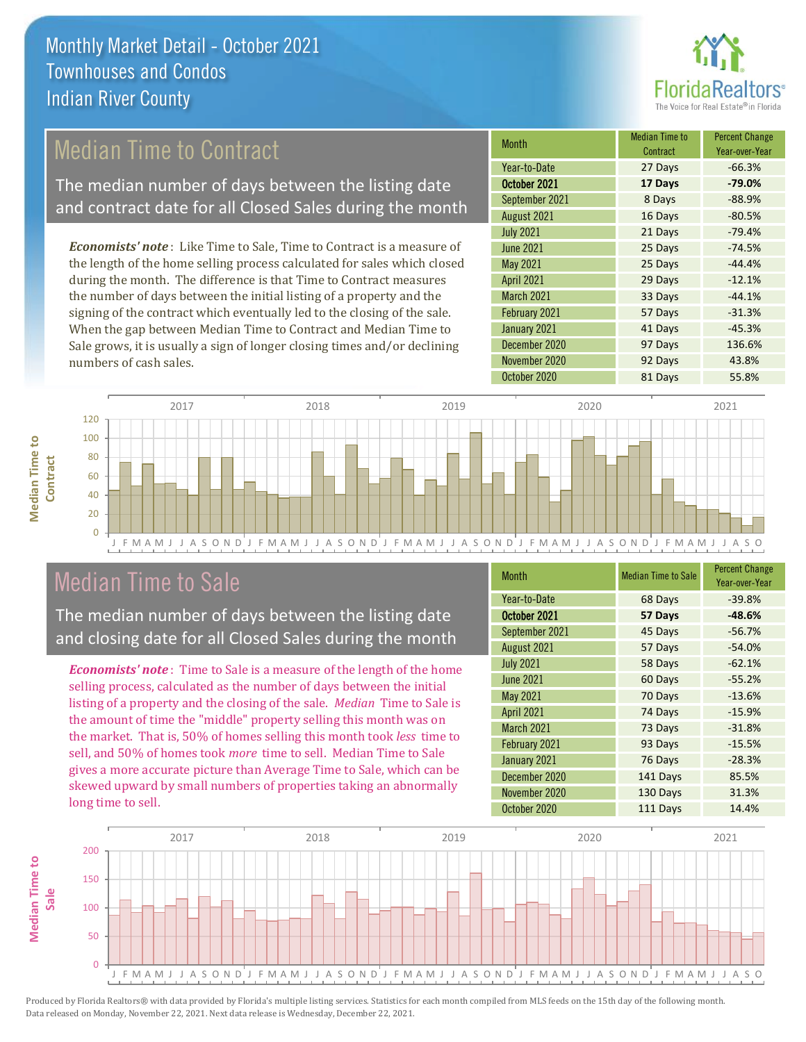

### Median Time to Contract

The median number of days between the listing date and contract date for all Closed Sales during the month

*Economists' note* : Like Time to Sale, Time to Contract is a measure of the length of the home selling process calculated for sales which closed during the month. The difference is that Time to Contract measures the number of days between the initial listing of a property and the signing of the contract which eventually led to the closing of the sale. When the gap between Median Time to Contract and Median Time to Sale grows, it is usually a sign of longer closing times and/or declining numbers of cash sales.

| <b>Month</b>      | Median Time to<br>Contract | <b>Percent Change</b><br>Year-over-Year |
|-------------------|----------------------------|-----------------------------------------|
| Year-to-Date      | 27 Days                    | $-66.3%$                                |
| October 2021      | 17 Days                    | $-79.0%$                                |
| September 2021    | 8 Days                     | $-88.9%$                                |
| August 2021       | 16 Days                    | $-80.5%$                                |
| <b>July 2021</b>  | 21 Days                    | $-79.4%$                                |
| <b>June 2021</b>  | 25 Days                    | $-74.5%$                                |
| May 2021          | 25 Days                    | $-44.4%$                                |
| <b>April 2021</b> | 29 Days                    | $-12.1%$                                |
| March 2021        | 33 Days                    | $-44.1%$                                |
| February 2021     | 57 Days                    | $-31.3%$                                |
| January 2021      | 41 Days                    | $-45.3%$                                |
| December 2020     | 97 Days                    | 136.6%                                  |
| November 2020     | 92 Days                    | 43.8%                                   |
| October 2020      | 81 Days                    | 55.8%                                   |





### Median Time to Sale

The median number of days between the listing date and closing date for all Closed Sales during the month

*Economists' note* : Time to Sale is a measure of the length of the home selling process, calculated as the number of days between the initial listing of a property and the closing of the sale. *Median* Time to Sale is the amount of time the "middle" property selling this month was on the market. That is, 50% of homes selling this month took *less* time to sell, and 50% of homes took *more* time to sell. Median Time to Sale gives a more accurate picture than Average Time to Sale, which can be skewed upward by small numbers of properties taking an abnormally long time to sell.

| <b>Month</b>      | <b>Median Time to Sale</b> | <b>Percent Change</b><br>Year-over-Year |
|-------------------|----------------------------|-----------------------------------------|
| Year-to-Date      | 68 Days                    | $-39.8%$                                |
| October 2021      | 57 Days                    | $-48.6%$                                |
| September 2021    | 45 Days                    | $-56.7%$                                |
| August 2021       | 57 Days                    | $-54.0%$                                |
| <b>July 2021</b>  | 58 Days                    | $-62.1%$                                |
| <b>June 2021</b>  | 60 Days                    | $-55.2%$                                |
| May 2021          | 70 Days                    | $-13.6%$                                |
| <b>April 2021</b> | 74 Days                    | $-15.9%$                                |
| March 2021        | 73 Days                    | $-31.8%$                                |
| February 2021     | 93 Days                    | $-15.5%$                                |
| January 2021      | 76 Days                    | $-28.3%$                                |
| December 2020     | 141 Days                   | 85.5%                                   |
| November 2020     | 130 Days                   | 31.3%                                   |
| October 2020      | 111 Days                   | 14.4%                                   |

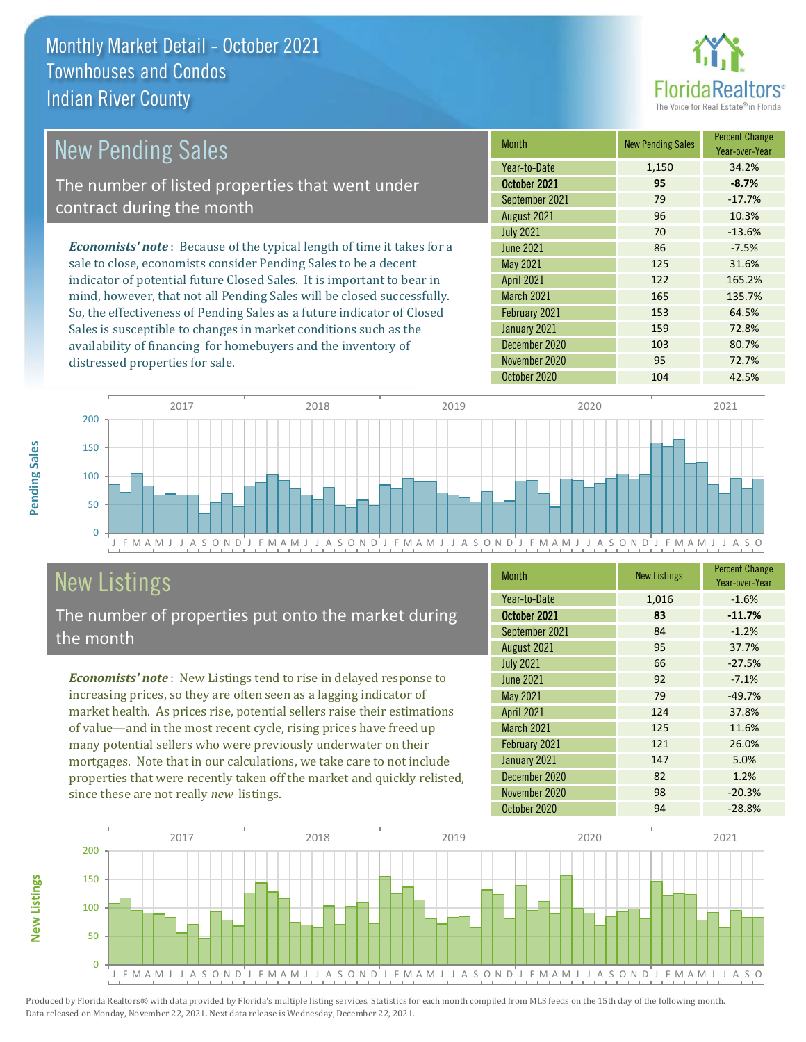

| New Pending Sales                                                              | <b>Month</b>      | <b>New Pending Sales</b> | <b>Percent Change</b><br>Year-over-Year |
|--------------------------------------------------------------------------------|-------------------|--------------------------|-----------------------------------------|
|                                                                                | Year-to-Date      | 1,150                    | 34.2%                                   |
| The number of listed properties that went under                                | October 2021      | 95                       | $-8.7%$                                 |
| contract during the month                                                      | September 2021    | 79                       | $-17.7%$                                |
|                                                                                | August 2021       | 96                       | 10.3%                                   |
|                                                                                | <b>July 2021</b>  | 70                       | $-13.6%$                                |
| <b>Economists' note</b> : Because of the typical length of time it takes for a | June 2021         | 86                       | $-7.5%$                                 |
| sale to close, economists consider Pending Sales to be a decent                | May 2021          | 125                      | 31.6%                                   |
| indicator of potential future Closed Sales. It is important to bear in         | <b>April 2021</b> | 122                      | 165.2%                                  |
| mind, however, that not all Pending Sales will be closed successfully.         | <b>March 2021</b> | 165                      | 135.7%                                  |
| So, the effectiveness of Pending Sales as a future indicator of Closed         | February 2021     | 153                      | 64.5%                                   |
| Sales is susceptible to changes in market conditions such as the               | January 2021      | 159                      | 72.8%                                   |



## New Listings

distressed properties for sale.

The number of properties put onto the market during the month

availability of financing for homebuyers and the inventory of

*Economists' note* : New Listings tend to rise in delayed response to increasing prices, so they are often seen as a lagging indicator of market health. As prices rise, potential sellers raise their estimations of value—and in the most recent cycle, rising prices have freed up many potential sellers who were previously underwater on their mortgages. Note that in our calculations, we take care to not include properties that were recently taken off the market and quickly relisted, since these are not really *new* listings.

| <b>Month</b>      | <b>New Listings</b> | <b>Percent Change</b><br>Year-over-Year |
|-------------------|---------------------|-----------------------------------------|
| Year-to-Date      | 1,016               | $-1.6%$                                 |
| October 2021      | 83                  | $-11.7%$                                |
| September 2021    | 84                  | $-1.2%$                                 |
| August 2021       | 95                  | 37.7%                                   |
| <b>July 2021</b>  | 66                  | $-27.5%$                                |
| <b>June 2021</b>  | 92                  | $-7.1%$                                 |
| May 2021          | 79                  | $-49.7%$                                |
| <b>April 2021</b> | 124                 | 37.8%                                   |
| <b>March 2021</b> | 125                 | 11.6%                                   |
| February 2021     | 121                 | 26.0%                                   |
| January 2021      | 147                 | 5.0%                                    |
| December 2020     | 82                  | 1.2%                                    |
| November 2020     | 98                  | $-20.3%$                                |
| October 2020      | 94                  | $-28.8%$                                |

December 2020 103 80.7% November 2020 95 72.7%



Produced by Florida Realtors® with data provided by Florida's multiple listing services. Statistics for each month compiled from MLS feeds on the 15th day of the following month. Data released on Monday, November 22, 2021. Next data release is Wednesday, December 22, 2021.

**New Listings**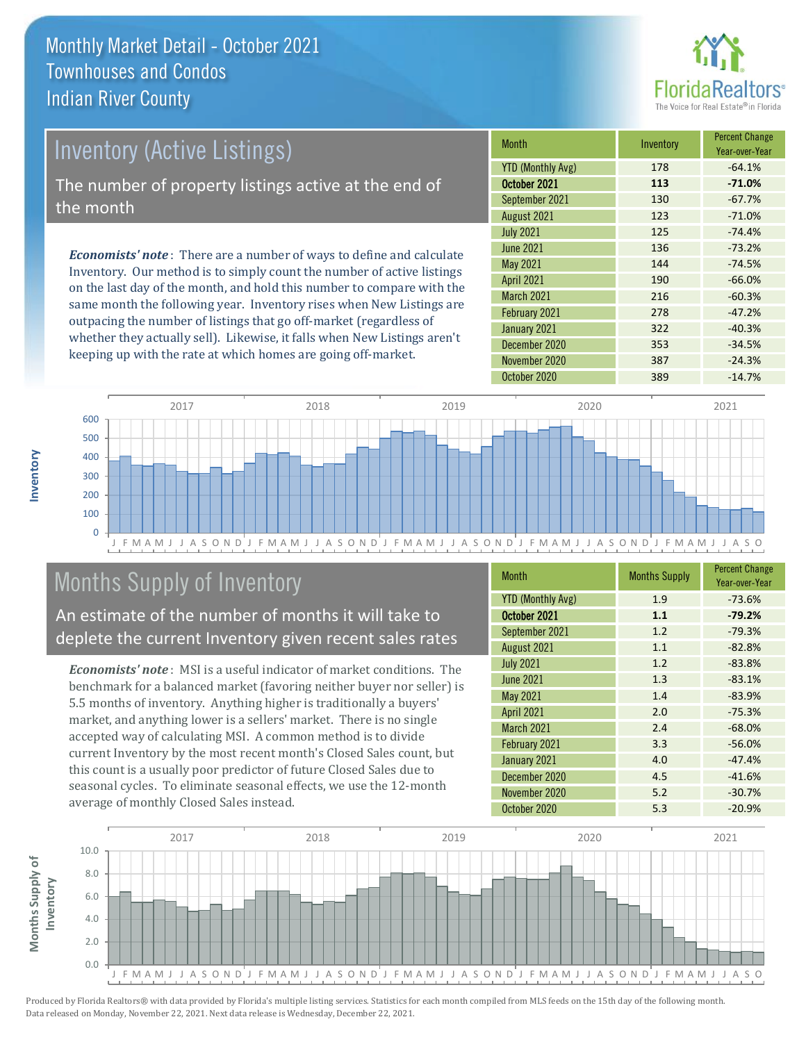

# *Economists' note* : There are a number of ways to define and calculate Inventory (Active Listings) The number of property listings active at the end of the month

Inventory. Our method is to simply count the number of active listings on the last day of the month, and hold this number to compare with the same month the following year. Inventory rises when New Listings are outpacing the number of listings that go off-market (regardless of whether they actually sell). Likewise, it falls when New Listings aren't keeping up with the rate at which homes are going off-market.

| <b>Month</b>             | Inventory | <b>Percent Change</b><br>Year-over-Year |
|--------------------------|-----------|-----------------------------------------|
| <b>YTD (Monthly Avg)</b> | 178       | $-64.1%$                                |
| October 2021             | 113       | $-71.0%$                                |
| September 2021           | 130       | $-67.7%$                                |
| August 2021              | 123       | $-71.0%$                                |
| <b>July 2021</b>         | 125       | $-74.4%$                                |
| June 2021                | 136       | $-73.2%$                                |
| May 2021                 | 144       | $-74.5%$                                |
| <b>April 2021</b>        | 190       | $-66.0%$                                |
| March 2021               | 216       | $-60.3%$                                |
| February 2021            | 278       | $-47.2%$                                |
| January 2021             | 322       | $-40.3%$                                |
| December 2020            | 353       | $-34.5%$                                |
| November 2020            | 387       | $-24.3%$                                |
| October 2020             | 389       | $-14.7%$                                |



## Months Supply of Inventory

An estimate of the number of months it will take to deplete the current Inventory given recent sales rates

*Economists' note* : MSI is a useful indicator of market conditions. The benchmark for a balanced market (favoring neither buyer nor seller) is 5.5 months of inventory. Anything higher is traditionally a buyers' market, and anything lower is a sellers' market. There is no single accepted way of calculating MSI. A common method is to divide current Inventory by the most recent month's Closed Sales count, but this count is a usually poor predictor of future Closed Sales due to seasonal cycles. To eliminate seasonal effects, we use the 12-month average of monthly Closed Sales instead.

| <b>Month</b>             | <b>Months Supply</b> | <b>Percent Change</b><br>Year-over-Year |
|--------------------------|----------------------|-----------------------------------------|
| <b>YTD (Monthly Avg)</b> | 1.9                  | $-73.6%$                                |
| October 2021             | 1.1                  | $-79.2%$                                |
| September 2021           | 1.2                  | $-79.3%$                                |
| August 2021              | 1.1                  | $-82.8%$                                |
| <b>July 2021</b>         | 1.2                  | $-83.8%$                                |
| <b>June 2021</b>         | 1.3                  | $-83.1%$                                |
| May 2021                 | 1.4                  | $-83.9%$                                |
| <b>April 2021</b>        | 2.0                  | $-75.3%$                                |
| <b>March 2021</b>        | 2.4                  | $-68.0%$                                |
| February 2021            | 3.3                  | $-56.0%$                                |
| January 2021             | 4.0                  | $-47.4%$                                |
| December 2020            | 4.5                  | $-41.6%$                                |
| November 2020            | 5.2                  | $-30.7%$                                |
| October 2020             | 5.3                  | $-20.9%$                                |



**Inventory**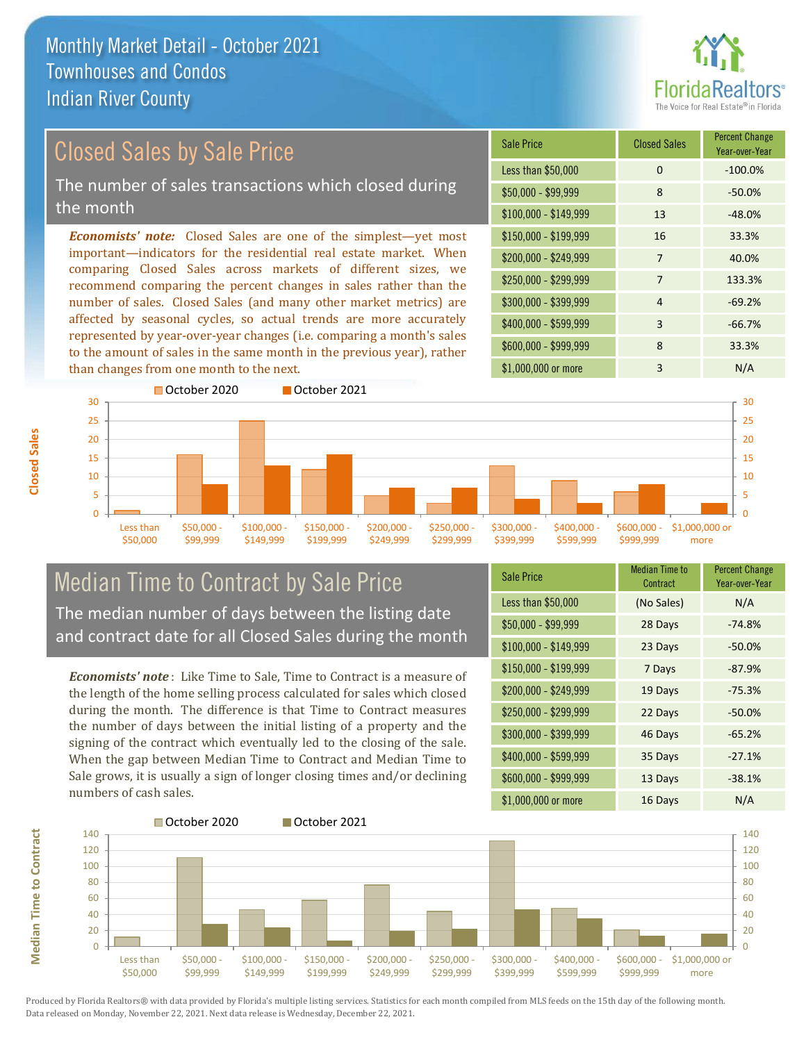

## Closed Sales by Sale Price The number of sales transactions which closed during the month

*Economists' note:* Closed Sales are one of the simplest—yet most important—indicators for the residential real estate market. When comparing Closed Sales across markets of different sizes, we recommend comparing the percent changes in sales rather than the number of sales. Closed Sales (and many other market metrics) are affected by seasonal cycles, so actual trends are more accurately represented by year-over-year changes (i.e. comparing a month's sales to the amount of sales in the same month in the previous year), rather than changes from one month to the next.

| <b>Sale Price</b>     | <b>Closed Sales</b> | <b>Percent Change</b><br>Year-over-Year |
|-----------------------|---------------------|-----------------------------------------|
| Less than \$50,000    | $\Omega$            | $-100.0%$                               |
| $$50,000 - $99,999$   | 8                   | $-50.0%$                                |
| $$100,000 - $149,999$ | 13                  | $-48.0%$                                |
| \$150,000 - \$199,999 | 16                  | 33.3%                                   |
| \$200,000 - \$249,999 | 7                   | 40.0%                                   |
| \$250,000 - \$299,999 | 7                   | 133.3%                                  |
| \$300,000 - \$399,999 | $\overline{4}$      | $-69.2%$                                |
| \$400,000 - \$599,999 | 3                   | $-66.7%$                                |
| \$600,000 - \$999,999 | 8                   | 33.3%                                   |
| \$1,000,000 or more   | 3                   | N/A                                     |



### Median Time to Contract by Sale Price The median number of days between the listing date and contract date for all Closed Sales during the month

*Economists' note* : Like Time to Sale, Time to Contract is a measure of the length of the home selling process calculated for sales which closed during the month. The difference is that Time to Contract measures the number of days between the initial listing of a property and the signing of the contract which eventually led to the closing of the sale. When the gap between Median Time to Contract and Median Time to Sale grows, it is usually a sign of longer closing times and/or declining numbers of cash sales.

| <b>Sale Price</b>     | <b>Median Time to</b><br>Contract | <b>Percent Change</b><br>Year-over-Year |
|-----------------------|-----------------------------------|-----------------------------------------|
| Less than \$50,000    | (No Sales)                        | N/A                                     |
| $$50,000 - $99,999$   | 28 Days                           | $-74.8%$                                |
| $$100,000 - $149,999$ | 23 Days                           | $-50.0%$                                |
| $$150,000 - $199,999$ | 7 Days                            | $-87.9%$                                |
| \$200,000 - \$249,999 | 19 Days                           | $-75.3%$                                |
| \$250,000 - \$299,999 | 22 Days                           | $-50.0%$                                |
| \$300,000 - \$399,999 | 46 Days                           | $-65.2%$                                |
| \$400,000 - \$599,999 | 35 Days                           | $-27.1%$                                |
| \$600,000 - \$999,999 | 13 Days                           | $-38.1%$                                |
| \$1,000,000 or more   | 16 Days                           | N/A                                     |

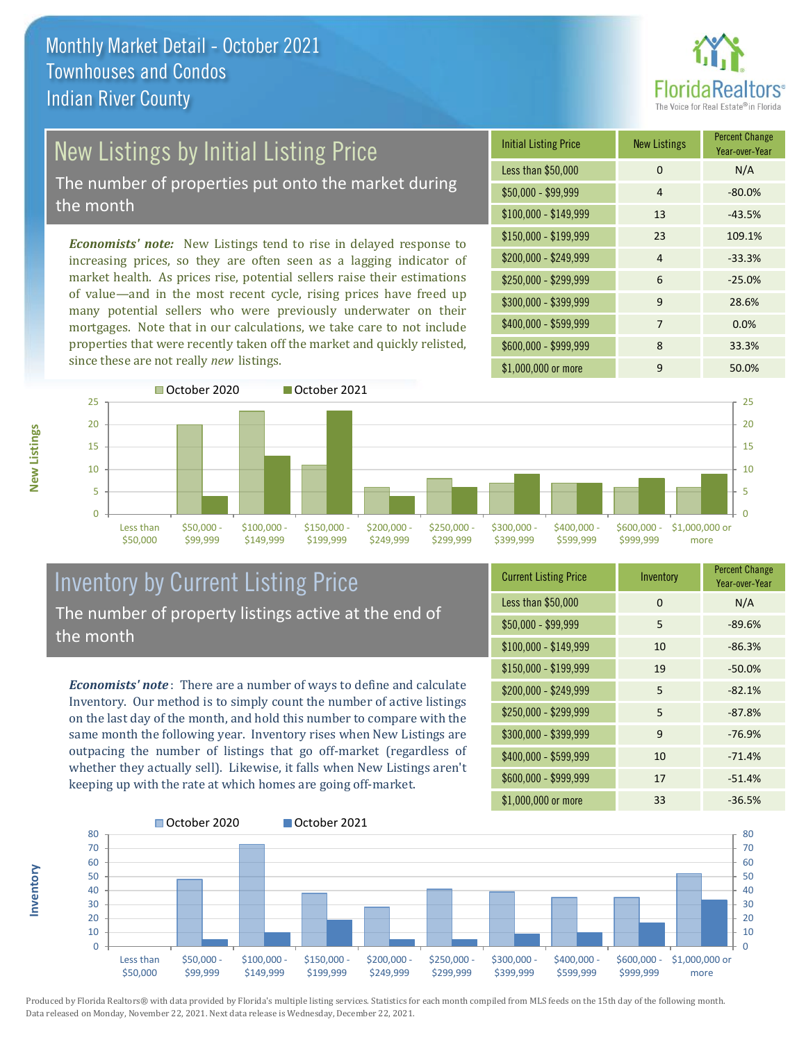

# New Listings by Initial Listing Price

The number of properties put onto the market during the month

*Economists' note:* New Listings tend to rise in delayed response to increasing prices, so they are often seen as a lagging indicator of market health. As prices rise, potential sellers raise their estimations of value—and in the most recent cycle, rising prices have freed up many potential sellers who were previously underwater on their mortgages. Note that in our calculations, we take care to not include properties that were recently taken off the market and quickly relisted, since these are not really *new* listings.





### Inventory by Current Listing Price The number of property listings active at the end of the month

*Economists' note* : There are a number of ways to define and calculate Inventory. Our method is to simply count the number of active listings on the last day of the month, and hold this number to compare with the same month the following year. Inventory rises when New Listings are outpacing the number of listings that go off-market (regardless of whether they actually sell). Likewise, it falls when New Listings aren't keeping up with the rate at which homes are going off-market.

**Inventory**

**New Listings**

| <b>Current Listing Price</b> | Inventory | <b>Percent Change</b><br>Year-over-Year |
|------------------------------|-----------|-----------------------------------------|
| Less than \$50,000           | $\Omega$  | N/A                                     |
| $$50,000 - $99,999$          | 5         | $-89.6%$                                |
| $$100,000 - $149,999$        | 10        | $-86.3%$                                |
| $$150,000 - $199,999$        | 19        | $-50.0%$                                |
| \$200,000 - \$249,999        | 5         | $-82.1%$                                |
| \$250,000 - \$299,999        | 5         | $-87.8%$                                |
| \$300,000 - \$399,999        | 9         | $-76.9%$                                |
| \$400,000 - \$599,999        | 10        | $-71.4%$                                |
| \$600,000 - \$999,999        | 17        | $-51.4%$                                |
| \$1,000,000 or more          | 33        | $-36.5%$                                |